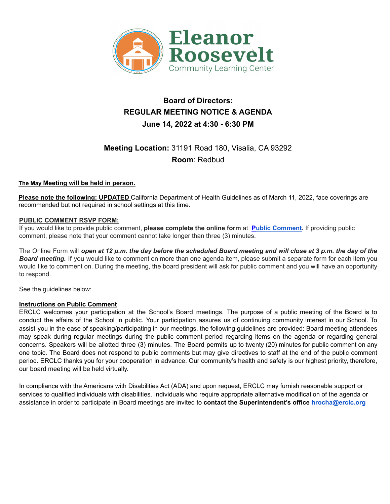

# **Board of Directors: REGULAR MEETING NOTICE & AGENDA June 14, 2022 at 4:30 - 6:30 PM**

# **Meeting Location:** 31191 Road 180, Visalia, CA 93292 **Room**: Redbud

#### **The May Meeting will be held in person.**

**Please note the following: UPDATED** California Department of Health Guidelines as of March 11, 2022, face coverings are recommended but not required in school settings at this time.

#### **PUBLIC COMMENT RSVP FORM:**

If you would like to provide public comment, **please complete the online form** at **Public [Comment.](https://forms.gle/TKCXFT3Hsnw484116)** If providing public comment, please note that your comment cannot take longer than three (3) minutes.

The Online Form will open at 12 p.m. the day before the scheduled Board meeting and will close at 3 p.m. the day of the *Board meeting.* If you would like to comment on more than one agenda item, please submit a separate form for each item you would like to comment on. During the meeting, the board president will ask for public comment and you will have an opportunity to respond.

See the guidelines below:

#### **Instructions on Public Comment**

ERCLC welcomes your participation at the School's Board meetings. The purpose of a public meeting of the Board is to conduct the affairs of the School in public. Your participation assures us of continuing community interest in our School. To assist you in the ease of speaking/participating in our meetings, the following guidelines are provided: Board meeting attendees may speak during regular meetings during the public comment period regarding items on the agenda or regarding general concerns. Speakers will be allotted three (3) minutes. The Board permits up to twenty (20) minutes for public comment on any one topic. The Board does not respond to public comments but may give directives to staff at the end of the public comment period. ERCLC thanks you for your cooperation in advance. Our community's health and safety is our highest priority, therefore, our board meeting will be held virtually.

In compliance with the Americans with Disabilities Act (ADA) and upon request, ERCLC may furnish reasonable support or services to qualified individuals with disabilities. Individuals who require appropriate alternative modification of the agenda or assistance in order to participate in Board meetings are invited to **contact the Superintendent's office hrocha@erclc.org**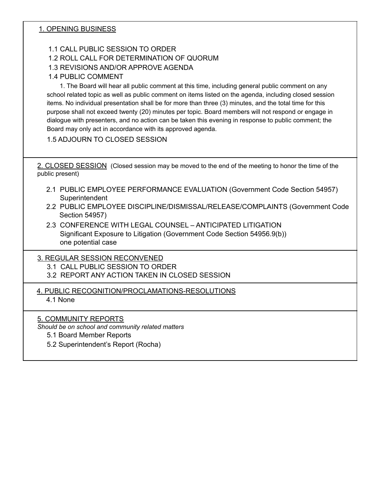## 1. OPENING BUSINESS

## 1.1 CALL PUBLIC SESSION TO ORDER

## 1.2 ROLL CALL FOR DETERMINATION OF QUORUM

# 1.3 REVISIONS AND/OR APPROVE AGENDA

# 1.4 PUBLIC COMMENT

1. The Board will hear all public comment at this time, including general public comment on any school related topic as well as public comment on items listed on the agenda, including closed session items. No individual presentation shall be for more than three (3) minutes, and the total time for this purpose shall not exceed twenty (20) minutes per topic. Board members will not respond or engage in dialogue with presenters, and no action can be taken this evening in response to public comment; the Board may only act in accordance with its approved agenda.

## 1.5 ADJOURN TO CLOSED SESSION

2. CLOSED SESSION (Closed session may be moved to the end of the meeting to honor the time of the public present)

- 2.1 PUBLIC EMPLOYEE PERFORMANCE EVALUATION (Government Code Section 54957) Superintendent
- 2.2 PUBLIC EMPLOYEE DISCIPLINE/DISMISSAL/RELEASE/COMPLAINTS (Government Code Section 54957)
- 2.3 CONFERENCE WITH LEGAL COUNSEL ANTICIPATED LITIGATION Significant Exposure to Litigation (Government Code Section 54956.9(b)) one potential case

#### 3. REGULAR SESSION RECONVENED

3.1 CALL PUBLIC SESSION TO ORDER

- 3.2 REPORT ANY ACTION TAKEN IN CLOSED SESSION
- 4. PUBLIC RECOGNITION/PROCLAMATIONS-RESOLUTIONS

4.1 None

#### 5. COMMUNITY REPORTS

*Should be on school and community related matters*

- 5.1 Board Member Reports
- 5.2 Superintendent's Report (Rocha)